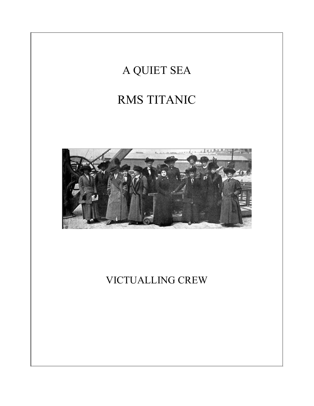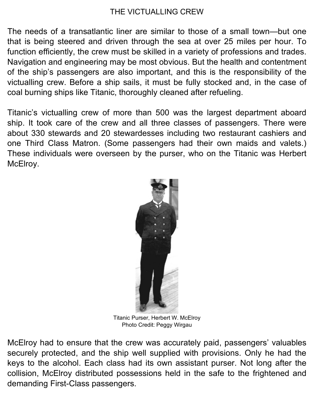## THE VICTUALLING CREW

The needs of a transatlantic liner are similar to those of a small town—but one that is being steered and driven through the sea at over 25 miles per hour. To function efficiently, the crew must be skilled in a variety of professions and trades. Navigation and engineering may be most obvious. But the health and contentment of the ship's passengers are also important, and this is the responsibility of the victualling crew. Before a ship sails, it must be fully stocked and, in the case of coal burning ships like Titanic, thoroughly cleaned after refueling.

Titanic's victualling crew of more than 500 was the largest department aboard ship. It took care of the crew and all three classes of passengers. There were about 330 stewards and 20 stewardesses including two restaurant cashiers and one Third Class Matron. (Some passengers had their own maids and valets.) These individuals were overseen by the purser, who on the Titanic was Herbert McElroy.



Titanic Purser, Herbert W. McElroy Photo Credit: Peggy Wirgau

McElroy had to ensure that the crew was accurately paid, passengers' valuables securely protected, and the ship well supplied with provisions. Only he had the keys to the alcohol. Each class had its own assistant purser. Not long after the collision, McElroy distributed possessions held in the safe to the frightened and demanding First-Class passengers.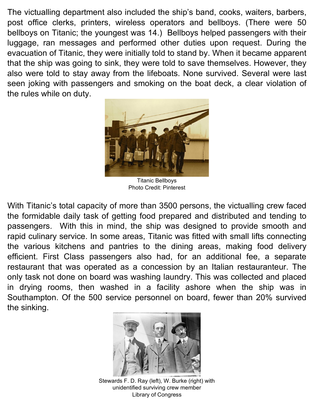The victualling department also included the ship's band, cooks, waiters, barbers, post office clerks, printers, wireless operators and bellboys. (There were 50 bellboys on Titanic; the youngest was 14.) Bellboys helped passengers with their luggage, ran messages and performed other duties upon request. During the evacuation of Titanic, they were initially told to stand by. When it became apparent that the ship was going to sink, they were told to save themselves. However, they also were told to stay away from the lifeboats. None survived. Several were last seen joking with passengers and smoking on the boat deck, a clear violation of the rules while on duty.



Titanic Bellboys Photo Credit: Pinterest

With Titanic's total capacity of more than 3500 persons, the victualling crew faced the formidable daily task of getting food prepared and distributed and tending to passengers. With this in mind, the ship was designed to provide smooth and rapid culinary service. In some areas, Titanic was fitted with small lifts connecting the various kitchens and pantries to the dining areas, making food delivery efficient. First Class passengers also had, for an additional fee, a separate restaurant that was operated as a concession by an Italian restauranteur. The only task not done on board was washing laundry. This was collected and placed in drying rooms, then washed in a facility ashore when the ship was in Southampton. Of the 500 service personnel on board, fewer than 20% survived the sinking.



Stewards F. D. Ray (left), W. Burke (right) with unidentified surviving crew member Library of Congress